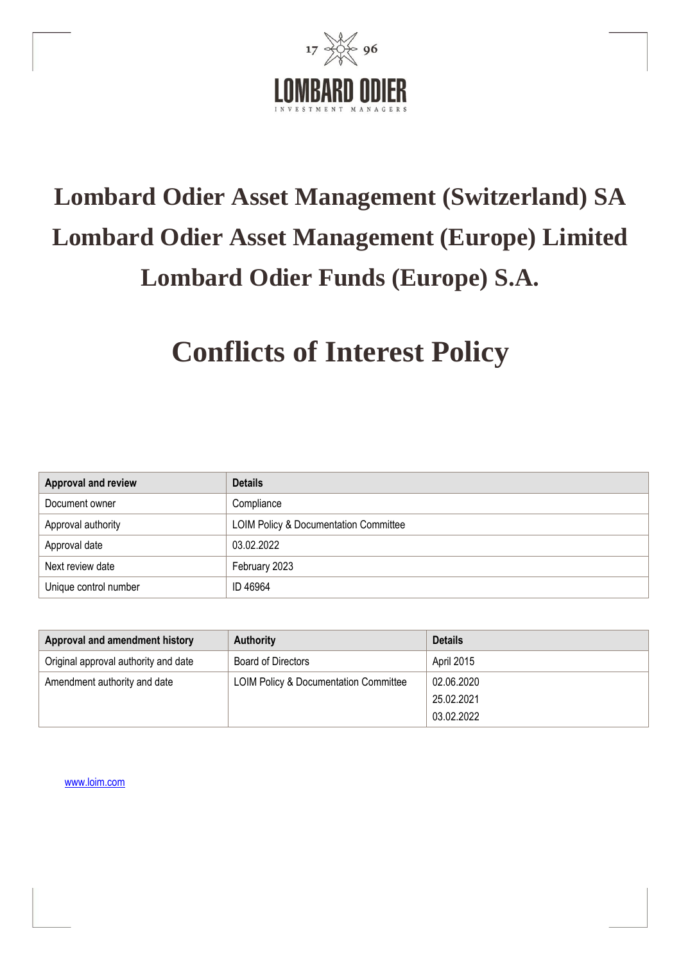

# **Lombard Odier Asset Management (Switzerland) SA Lombard Odier Asset Management (Europe) Limited Lombard Odier Funds (Europe) S.A.**

## **Conflicts of Interest Policy**

| Approval and review   | <b>Details</b>                                   |
|-----------------------|--------------------------------------------------|
| Document owner        | Compliance                                       |
| Approval authority    | <b>LOIM Policy &amp; Documentation Committee</b> |
| Approval date         | 03.02.2022                                       |
| Next review date      | February 2023                                    |
| Unique control number | ID 46964                                         |

| Approval and amendment history       | <b>Authority</b>                                 | <b>Details</b> |
|--------------------------------------|--------------------------------------------------|----------------|
| Original approval authority and date | Board of Directors                               | April 2015     |
| Amendment authority and date         | <b>LOIM Policy &amp; Documentation Committee</b> | 02.06.2020     |
|                                      |                                                  | 25.02.2021     |
|                                      |                                                  | 03.02.2022     |

[www.loim.com](http://www.loim.com/)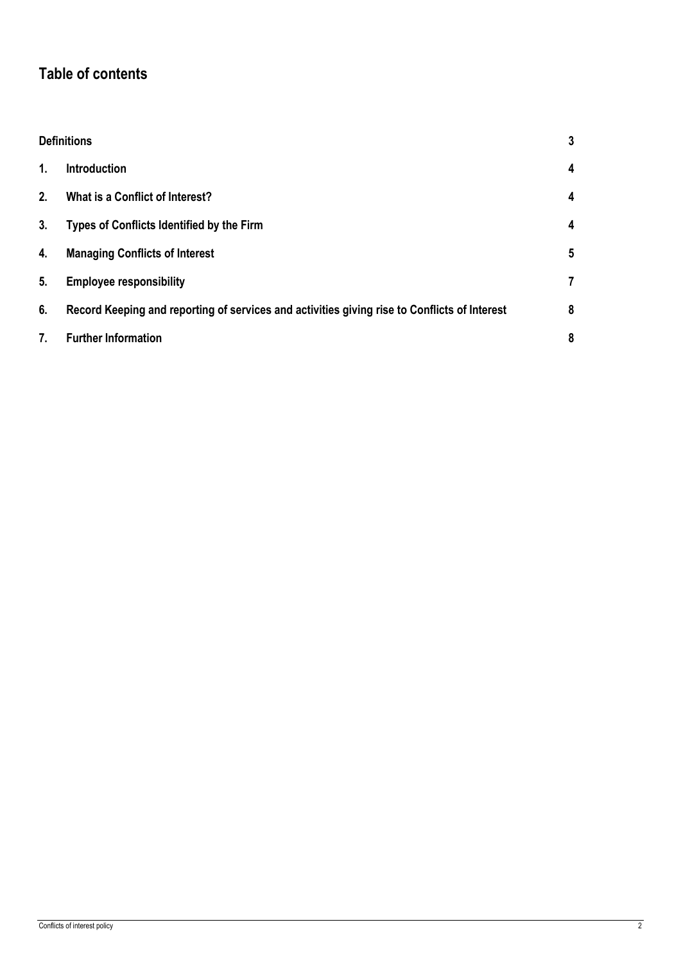## **Table of contents**

|    | <b>Definitions</b><br>3                                                                      |   |
|----|----------------------------------------------------------------------------------------------|---|
| 1. | <b>Introduction</b>                                                                          | 4 |
| 2. | What is a Conflict of Interest?                                                              | 4 |
| 3. | Types of Conflicts Identified by the Firm                                                    | 4 |
| 4. | <b>Managing Conflicts of Interest</b>                                                        | 5 |
| 5. | <b>Employee responsibility</b>                                                               | 7 |
| 6. | Record Keeping and reporting of services and activities giving rise to Conflicts of Interest | 8 |
| 7. | <b>Further Information</b>                                                                   | 8 |
|    |                                                                                              |   |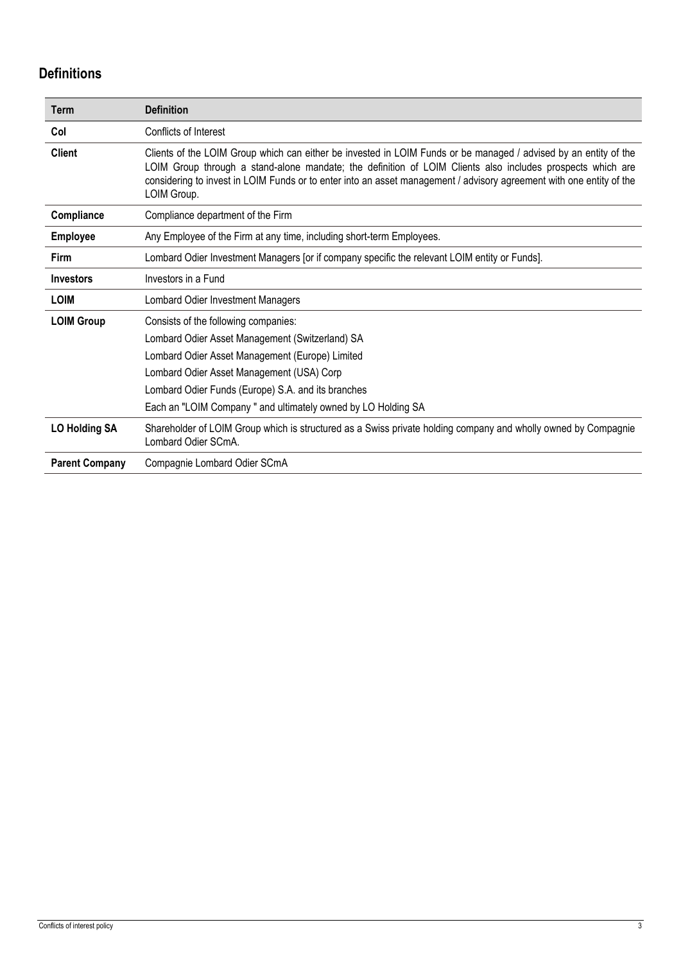## <span id="page-2-0"></span>**Definitions**

| <b>Term</b>           | <b>Definition</b>                                                                                                                                                                                                                                                                                                                                                     |
|-----------------------|-----------------------------------------------------------------------------------------------------------------------------------------------------------------------------------------------------------------------------------------------------------------------------------------------------------------------------------------------------------------------|
| Col                   | Conflicts of Interest                                                                                                                                                                                                                                                                                                                                                 |
| <b>Client</b>         | Clients of the LOIM Group which can either be invested in LOIM Funds or be managed / advised by an entity of the<br>LOIM Group through a stand-alone mandate; the definition of LOIM Clients also includes prospects which are<br>considering to invest in LOIM Funds or to enter into an asset management / advisory agreement with one entity of the<br>LOIM Group. |
| Compliance            | Compliance department of the Firm                                                                                                                                                                                                                                                                                                                                     |
| <b>Employee</b>       | Any Employee of the Firm at any time, including short-term Employees.                                                                                                                                                                                                                                                                                                 |
| Firm                  | Lombard Odier Investment Managers [or if company specific the relevant LOIM entity or Funds].                                                                                                                                                                                                                                                                         |
| <b>Investors</b>      | Investors in a Fund                                                                                                                                                                                                                                                                                                                                                   |
| <b>LOIM</b>           | Lombard Odier Investment Managers                                                                                                                                                                                                                                                                                                                                     |
| <b>LOIM Group</b>     | Consists of the following companies:                                                                                                                                                                                                                                                                                                                                  |
|                       | Lombard Odier Asset Management (Switzerland) SA                                                                                                                                                                                                                                                                                                                       |
|                       | Lombard Odier Asset Management (Europe) Limited                                                                                                                                                                                                                                                                                                                       |
|                       | Lombard Odier Asset Management (USA) Corp                                                                                                                                                                                                                                                                                                                             |
|                       | Lombard Odier Funds (Europe) S.A. and its branches                                                                                                                                                                                                                                                                                                                    |
|                       | Each an "LOIM Company" and ultimately owned by LO Holding SA                                                                                                                                                                                                                                                                                                          |
| <b>LO Holding SA</b>  | Shareholder of LOIM Group which is structured as a Swiss private holding company and wholly owned by Compagnie<br>Lombard Odier SCmA.                                                                                                                                                                                                                                 |
| <b>Parent Company</b> | Compagnie Lombard Odier SCmA                                                                                                                                                                                                                                                                                                                                          |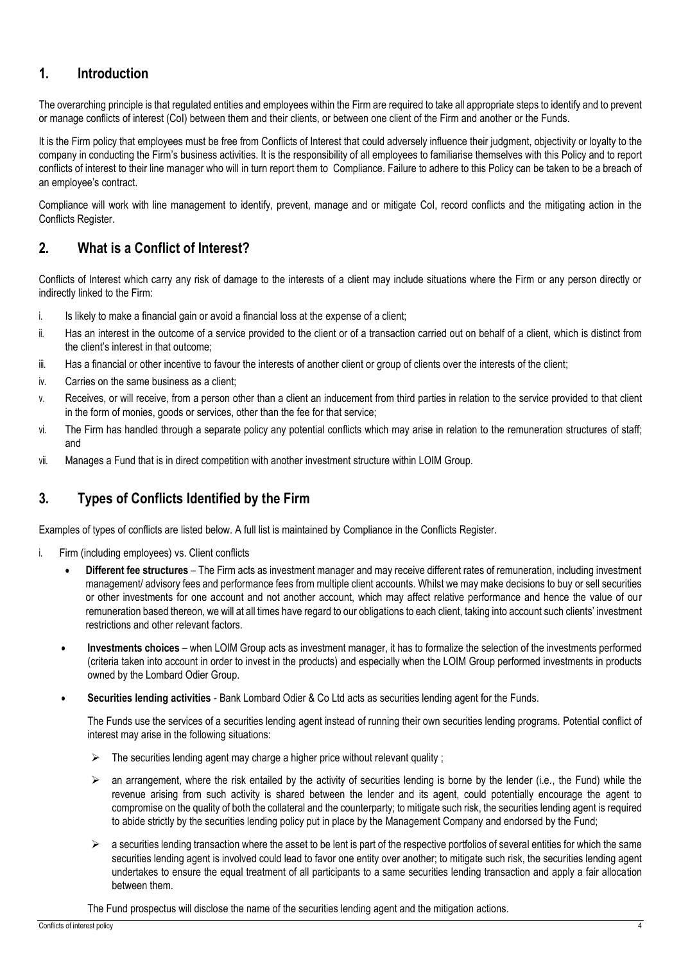## <span id="page-3-0"></span>**1. Introduction**

The overarching principle is that regulated entities and employees within the Firm are required to take all appropriate steps to identify and to prevent or manage conflicts of interest (CoI) between them and their clients, or between one client of the Firm and another or the Funds.

It is the Firm policy that employees must be free from Conflicts of Interest that could adversely influence their judgment, objectivity or loyalty to the company in conducting the Firm's business activities. It is the responsibility of all employees to familiarise themselves with this Policy and to report conflicts of interest to their line manager who will in turn report them to Compliance. Failure to adhere to this Policy can be taken to be a breach of an employee's contract.

Compliance will work with line management to identify, prevent, manage and or mitigate CoI, record conflicts and the mitigating action in the Conflicts Register.

## <span id="page-3-1"></span>**2. What is a Conflict of Interest?**

Conflicts of Interest which carry any risk of damage to the interests of a client may include situations where the Firm or any person directly or indirectly linked to the Firm:

- i. Is likely to make a financial gain or avoid a financial loss at the expense of a client;
- ii. Has an interest in the outcome of a service provided to the client or of a transaction carried out on behalf of a client, which is distinct from the client's interest in that outcome;
- iii. Has a financial or other incentive to favour the interests of another client or group of clients over the interests of the client;
- iv. Carries on the same business as a client;
- v. Receives, or will receive, from a person other than a client an inducement from third parties in relation to the service provided to that client in the form of monies, goods or services, other than the fee for that service;
- vi. The Firm has handled through a separate policy any potential conflicts which may arise in relation to the remuneration structures of staff; and
- vii. Manages a Fund that is in direct competition with another investment structure within LOIM Group.

### <span id="page-3-2"></span>**3. Types of Conflicts Identified by the Firm**

Examples of types of conflicts are listed below. A full list is maintained by Compliance in the Conflicts Register.

- i. Firm (including employees) vs. Client conflicts
	- **Different fee structures** The Firm acts as investment manager and may receive different rates of remuneration, including investment management/ advisory fees and performance fees from multiple client accounts. Whilst we may make decisions to buy or sell securities or other investments for one account and not another account, which may affect relative performance and hence the value of our remuneration based thereon, we will at all times have regard to our obligations to each client, taking into account such clients' investment restrictions and other relevant factors.
	- **Investments choices**  when LOIM Group acts as investment manager, it has to formalize the selection of the investments performed (criteria taken into account in order to invest in the products) and especially when the LOIM Group performed investments in products owned by the Lombard Odier Group.
	- **Securities lending activities**  Bank Lombard Odier & Co Ltd acts as securities lending agent for the Funds.

The Funds use the services of a securities lending agent instead of running their own securities lending programs. Potential conflict of interest may arise in the following situations:

- The securities lending agent may charge a higher price without relevant quality ;
- $\triangleright$  an arrangement, where the risk entailed by the activity of securities lending is borne by the lender (i.e., the Fund) while the revenue arising from such activity is shared between the lender and its agent, could potentially encourage the agent to compromise on the quality of both the collateral and the counterparty; to mitigate such risk, the securities lending agent is required to abide strictly by the securities lending policy put in place by the Management Company and endorsed by the Fund;
- $\triangleright$  a securities lending transaction where the asset to be lent is part of the respective portfolios of several entities for which the same securities lending agent is involved could lead to favor one entity over another; to mitigate such risk, the securities lending agent undertakes to ensure the equal treatment of all participants to a same securities lending transaction and apply a fair allocation between them.

The Fund prospectus will disclose the name of the securities lending agent and the mitigation actions.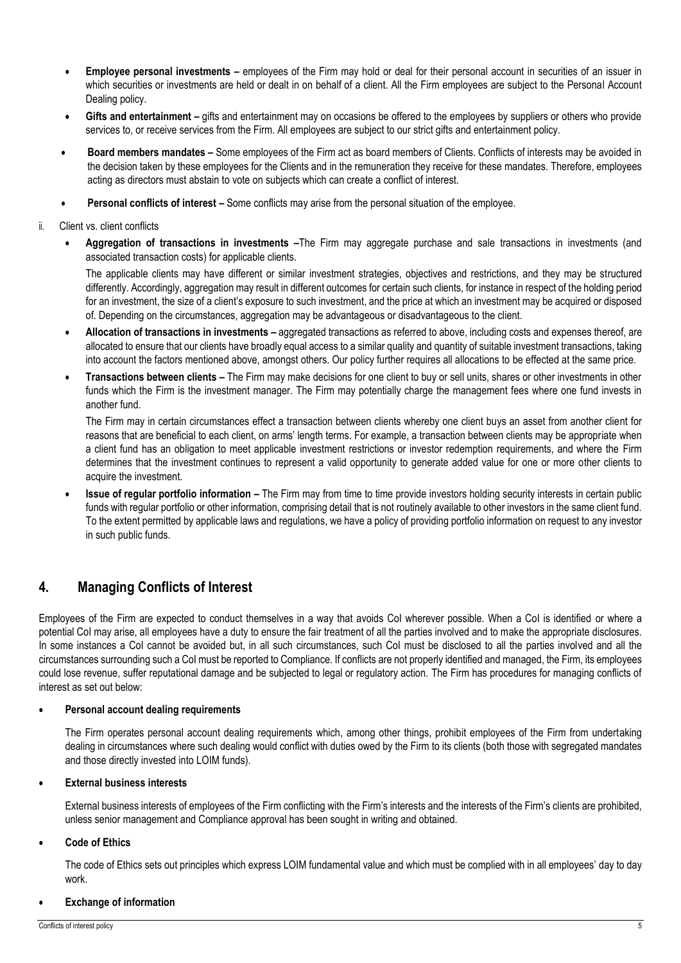- **Employee personal investments –** employees of the Firm may hold or deal for their personal account in securities of an issuer in which securities or investments are held or dealt in on behalf of a client. All the Firm employees are subject to the Personal Account Dealing policy.
- **Gifts and entertainment –** gifts and entertainment may on occasions be offered to the employees by suppliers or others who provide services to, or receive services from the Firm. All employees are subject to our strict gifts and entertainment policy.
- **Board members mandates –** Some employees of the Firm act as board members of Clients. Conflicts of interests may be avoided in the decision taken by these employees for the Clients and in the remuneration they receive for these mandates. Therefore, employees acting as directors must abstain to vote on subjects which can create a conflict of interest.
- **Personal conflicts of interest –** Some conflicts may arise from the personal situation of the employee.
- ii. Client vs. client conflicts
	- **Aggregation of transactions in investments –**The Firm may aggregate purchase and sale transactions in investments (and associated transaction costs) for applicable clients.

The applicable clients may have different or similar investment strategies, objectives and restrictions, and they may be structured differently. Accordingly, aggregation may result in different outcomes for certain such clients, for instance in respect of the holding period for an investment, the size of a client's exposure to such investment, and the price at which an investment may be acquired or disposed of. Depending on the circumstances, aggregation may be advantageous or disadvantageous to the client.

- **Allocation of transactions in investments –** aggregated transactions as referred to above, including costs and expenses thereof, are allocated to ensure that our clients have broadly equal access to a similar quality and quantity of suitable investment transactions, taking into account the factors mentioned above, amongst others. Our policy further requires all allocations to be effected at the same price.
- **Transactions between clients –** The Firm may make decisions for one client to buy or sell units, shares or other investments in other funds which the Firm is the investment manager. The Firm may potentially charge the management fees where one fund invests in another fund.

The Firm may in certain circumstances effect a transaction between clients whereby one client buys an asset from another client for reasons that are beneficial to each client, on arms' length terms. For example, a transaction between clients may be appropriate when a client fund has an obligation to meet applicable investment restrictions or investor redemption requirements, and where the Firm determines that the investment continues to represent a valid opportunity to generate added value for one or more other clients to acquire the investment.

• **Issue of regular portfolio information –** The Firm may from time to time provide investors holding security interests in certain public funds with regular portfolio or other information, comprising detail that is not routinely available to other investors in the same client fund. To the extent permitted by applicable laws and regulations, we have a policy of providing portfolio information on request to any investor in such public funds.

## <span id="page-4-0"></span>**4. Managing Conflicts of Interest**

Employees of the Firm are expected to conduct themselves in a way that avoids CoI wherever possible. When a CoI is identified or where a potential CoI may arise, all employees have a duty to ensure the fair treatment of all the parties involved and to make the appropriate disclosures. In some instances a CoI cannot be avoided but, in all such circumstances, such CoI must be disclosed to all the parties involved and all the circumstances surrounding such a CoI must be reported to Compliance. If conflicts are not properly identified and managed, the Firm, its employees could lose revenue, suffer reputational damage and be subjected to legal or regulatory action. The Firm has procedures for managing conflicts of interest as set out below:

#### • **Personal account dealing requirements**

The Firm operates personal account dealing requirements which, among other things, prohibit employees of the Firm from undertaking dealing in circumstances where such dealing would conflict with duties owed by the Firm to its clients (both those with segregated mandates and those directly invested into LOIM funds).

#### • **External business interests**

External business interests of employees of the Firm conflicting with the Firm's interests and the interests of the Firm's clients are prohibited. unless senior management and Compliance approval has been sought in writing and obtained.

#### • **Code of Ethics**

The code of Ethics sets out principles which express LOIM fundamental value and which must be complied with in all employees' day to day work.

#### • **Exchange of information**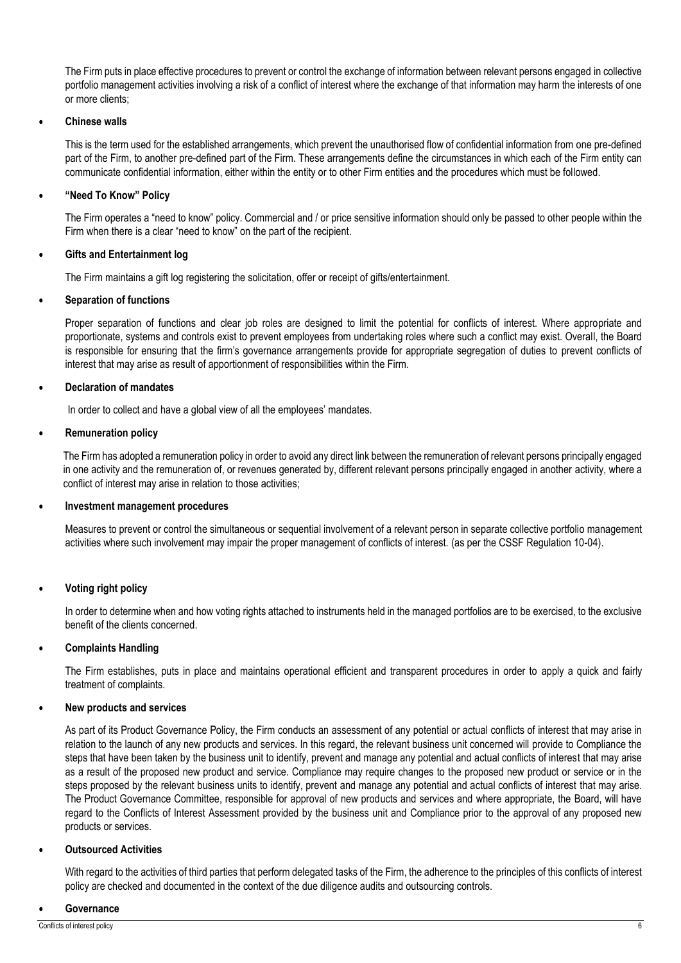The Firm puts in place effective procedures to prevent or control the exchange of information between relevant persons engaged in collective portfolio management activities involving a risk of a conflict of interest where the exchange of that information may harm the interests of one or more clients;

#### • **Chinese walls**

This is the term used for the established arrangements, which prevent the unauthorised flow of confidential information from one pre-defined part of the Firm, to another pre-defined part of the Firm. These arrangements define the circumstances in which each of the Firm entity can communicate confidential information, either within the entity or to other Firm entities and the procedures which must be followed.

#### • **"Need To Know" Policy**

The Firm operates a "need to know" policy. Commercial and / or price sensitive information should only be passed to other people within the Firm when there is a clear "need to know" on the part of the recipient.

#### • **Gifts and Entertainment log**

The Firm maintains a gift log registering the solicitation, offer or receipt of gifts/entertainment.

#### • **Separation of functions**

Proper separation of functions and clear job roles are designed to limit the potential for conflicts of interest. Where appropriate and proportionate, systems and controls exist to prevent employees from undertaking roles where such a conflict may exist. Overall, the Board is responsible for ensuring that the firm's governance arrangements provide for appropriate segregation of duties to prevent conflicts of interest that may arise as result of apportionment of responsibilities within the Firm.

#### • **Declaration of mandates**

In order to collect and have a global view of all the employees' mandates.

#### • **Remuneration policy**

The Firm has adopted a remuneration policy in order to avoid any direct link between the remuneration of relevant persons principally engaged in one activity and the remuneration of, or revenues generated by, different relevant persons principally engaged in another activity, where a conflict of interest may arise in relation to those activities;

#### • **Investment management procedures**

Measures to prevent or control the simultaneous or sequential involvement of a relevant person in separate collective portfolio management activities where such involvement may impair the proper management of conflicts of interest. (as per the CSSF Regulation 10-04).

#### • **Voting right policy**

In order to determine when and how voting rights attached to instruments held in the managed portfolios are to be exercised, to the exclusive benefit of the clients concerned.

#### • **Complaints Handling**

The Firm establishes, puts in place and maintains operational efficient and transparent procedures in order to apply a quick and fairly treatment of complaints.

#### • **New products and services**

As part of its Product Governance Policy, the Firm conducts an assessment of any potential or actual conflicts of interest that may arise in relation to the launch of any new products and services. In this regard, the relevant business unit concerned will provide to Compliance the steps that have been taken by the business unit to identify, prevent and manage any potential and actual conflicts of interest that may arise as a result of the proposed new product and service. Compliance may require changes to the proposed new product or service or in the steps proposed by the relevant business units to identify, prevent and manage any potential and actual conflicts of interest that may arise. The Product Governance Committee, responsible for approval of new products and services and where appropriate, the Board, will have regard to the Conflicts of Interest Assessment provided by the business unit and Compliance prior to the approval of any proposed new products or services.

#### • **Outsourced Activities**

With regard to the activities of third parties that perform delegated tasks of the Firm, the adherence to the principles of this conflicts of interest policy are checked and documented in the context of the due diligence audits and outsourcing controls.

#### • **Governance**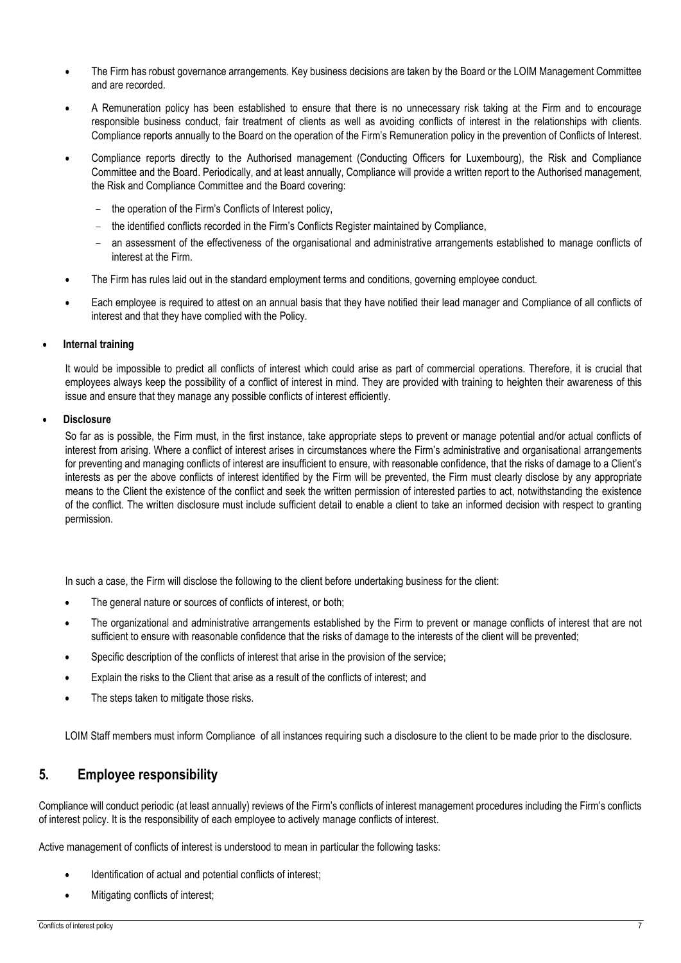- The Firm has robust governance arrangements. Key business decisions are taken by the Board or the LOIM Management Committee and are recorded.
- A Remuneration policy has been established to ensure that there is no unnecessary risk taking at the Firm and to encourage responsible business conduct, fair treatment of clients as well as avoiding conflicts of interest in the relationships with clients. Compliance reports annually to the Board on the operation of the Firm's Remuneration policy in the prevention of Conflicts of Interest.
- Compliance reports directly to the Authorised management (Conducting Officers for Luxembourg), the Risk and Compliance Committee and the Board. Periodically, and at least annually, Compliance will provide a written report to the Authorised management, the Risk and Compliance Committee and the Board covering:
	- the operation of the Firm's Conflicts of Interest policy,
	- − the identified conflicts recorded in the Firm's Conflicts Register maintained by Compliance,
	- an assessment of the effectiveness of the organisational and administrative arrangements established to manage conflicts of interest at the Firm.
- The Firm has rules laid out in the standard employment terms and conditions, governing employee conduct.
- Each employee is required to attest on an annual basis that they have notified their lead manager and Compliance of all conflicts of interest and that they have complied with the Policy.

#### • **Internal training**

It would be impossible to predict all conflicts of interest which could arise as part of commercial operations. Therefore, it is crucial that employees always keep the possibility of a conflict of interest in mind. They are provided with training to heighten their awareness of this issue and ensure that they manage any possible conflicts of interest efficiently.

#### • **Disclosure**

So far as is possible, the Firm must, in the first instance, take appropriate steps to prevent or manage potential and/or actual conflicts of interest from arising. Where a conflict of interest arises in circumstances where the Firm's administrative and organisational arrangements for preventing and managing conflicts of interest are insufficient to ensure, with reasonable confidence, that the risks of damage to a Client's interests as per the above conflicts of interest identified by the Firm will be prevented, the Firm must clearly disclose by any appropriate means to the Client the existence of the conflict and seek the written permission of interested parties to act, notwithstanding the existence of the conflict. The written disclosure must include sufficient detail to enable a client to take an informed decision with respect to granting permission.

In such a case, the Firm will disclose the following to the client before undertaking business for the client:

- The general nature or sources of conflicts of interest, or both;
- The organizational and administrative arrangements established by the Firm to prevent or manage conflicts of interest that are not sufficient to ensure with reasonable confidence that the risks of damage to the interests of the client will be prevented;
- Specific description of the conflicts of interest that arise in the provision of the service;
- Explain the risks to the Client that arise as a result of the conflicts of interest; and
- The steps taken to mitigate those risks.

LOIM Staff members must inform Compliance of all instances requiring such a disclosure to the client to be made prior to the disclosure.

### <span id="page-6-0"></span>**5. Employee responsibility**

Compliance will conduct periodic (at least annually) reviews of the Firm's conflicts of interest management procedures including the Firm's conflicts of interest policy. It is the responsibility of each employee to actively manage conflicts of interest.

Active management of conflicts of interest is understood to mean in particular the following tasks:

- Identification of actual and potential conflicts of interest;
- Mitigating conflicts of interest;